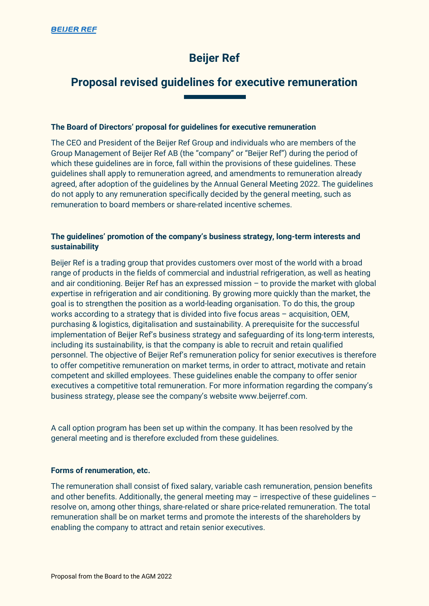# **Beijer Ref**

# **Proposal revised guidelines for executive remuneration**

# **The Board of Directors' proposal for guidelines for executive remuneration**

The CEO and President of the Beijer Ref Group and individuals who are members of the Group Management of Beijer Ref AB (the "company" or "Beijer Ref") during the period of which these guidelines are in force, fall within the provisions of these guidelines. These guidelines shall apply to remuneration agreed, and amendments to remuneration already agreed, after adoption of the guidelines by the Annual General Meeting 2022. The guidelines do not apply to any remuneration specifically decided by the general meeting, such as remuneration to board members or share-related incentive schemes.

# **The guidelines' promotion of the company's business strategy, long-term interests and sustainability**

Beijer Ref is a trading group that provides customers over most of the world with a broad range of products in the fields of commercial and industrial refrigeration, as well as heating and air conditioning. Beijer Ref has an expressed mission  $-$  to provide the market with global expertise in refrigeration and air conditioning. By growing more quickly than the market, the goal is to strengthen the position as a world-leading organisation. To do this, the group works according to a strategy that is divided into five focus areas – acquisition, OEM, purchasing & logistics, digitalisation and sustainability. A prerequisite for the successful implementation of Beijer Ref's business strategy and safeguarding of its long-term interests, including its sustainability, is that the company is able to recruit and retain qualified personnel. The objective of Beijer Ref's remuneration policy for senior executives is therefore to offer competitive remuneration on market terms, in order to attract, motivate and retain competent and skilled employees. These guidelines enable the company to offer senior executives a competitive total remuneration. For more information regarding the company's business strategy, please see the company's website www.beijerref.com.

A call option program has been set up within the company. It has been resolved by the general meeting and is therefore excluded from these guidelines.

## **Forms of renumeration, etc.**

The remuneration shall consist of fixed salary, variable cash remuneration, pension benefits and other benefits. Additionally, the general meeting may - irrespective of these guidelines resolve on, among other things, share-related or share price-related remuneration. The total remuneration shall be on market terms and promote the interests of the shareholders by enabling the company to attract and retain senior executives.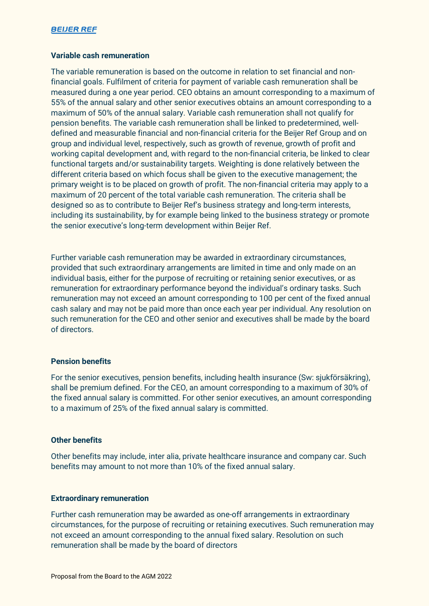## **BEIJER REF**

## **Variable cash remuneration**

The variable remuneration is based on the outcome in relation to set financial and nonfinancial goals. Fulfilment of criteria for payment of variable cash remuneration shall be measured during a one year period. CEO obtains an amount corresponding to a maximum of 55% of the annual salary and other senior executives obtains an amount corresponding to a maximum of 50% of the annual salary. Variable cash remuneration shall not qualify for pension benefits. The variable cash remuneration shall be linked to predetermined, welldefined and measurable financial and non-financial criteria for the Beijer Ref Group and on group and individual level, respectively, such as growth of revenue, growth of profit and working capital development and, with regard to the non-financial criteria, be linked to clear functional targets and/or sustainability targets. Weighting is done relatively between the different criteria based on which focus shall be given to the executive management; the primary weight is to be placed on growth of profit. The non-financial criteria may apply to a maximum of 20 percent of the total variable cash remuneration. The criteria shall be designed so as to contribute to Beijer Ref's business strategy and long-term interests, including its sustainability, by for example being linked to the business strategy or promote the senior executive's long-term development within Beijer Ref.

Further variable cash remuneration may be awarded in extraordinary circumstances, provided that such extraordinary arrangements are limited in time and only made on an individual basis, either for the purpose of recruiting or retaining senior executives, or as remuneration for extraordinary performance beyond the individual's ordinary tasks. Such remuneration may not exceed an amount corresponding to 100 per cent of the fixed annual cash salary and may not be paid more than once each year per individual. Any resolution on such remuneration for the CEO and other senior and executives shall be made by the board of directors.

## **Pension benefits**

For the senior executives, pension benefits, including health insurance (Sw: sjukförsäkring), shall be premium defined. For the CEO, an amount corresponding to a maximum of 30% of the fixed annual salary is committed. For other senior executives, an amount corresponding to a maximum of 25% of the fixed annual salary is committed.

### **Other benefits**

Other benefits may include, inter alia, private healthcare insurance and company car. Such benefits may amount to not more than 10% of the fixed annual salary.

#### **Extraordinary remuneration**

Further cash remuneration may be awarded as one-off arrangements in extraordinary circumstances, for the purpose of recruiting or retaining executives. Such remuneration may not exceed an amount corresponding to the annual fixed salary. Resolution on such remuneration shall be made by the board of directors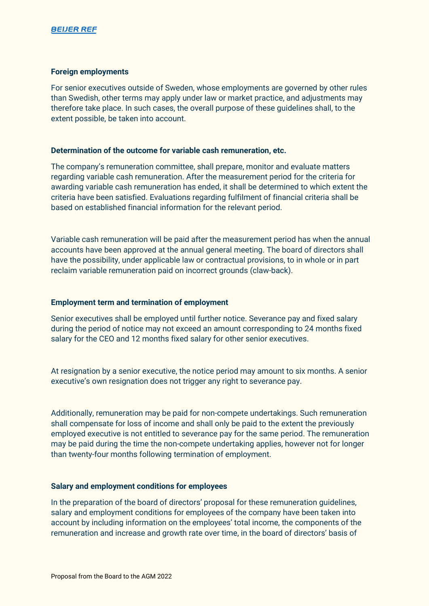## **Foreign employments**

For senior executives outside of Sweden, whose employments are governed by other rules than Swedish, other terms may apply under law or market practice, and adjustments may therefore take place. In such cases, the overall purpose of these guidelines shall, to the extent possible, be taken into account.

## **Determination of the outcome for variable cash remuneration, etc.**

The company's remuneration committee, shall prepare, monitor and evaluate matters regarding variable cash remuneration. After the measurement period for the criteria for awarding variable cash remuneration has ended, it shall be determined to which extent the criteria have been satisfied. Evaluations regarding fulfilment of financial criteria shall be based on established financial information for the relevant period.

Variable cash remuneration will be paid after the measurement period has when the annual accounts have been approved at the annual general meeting. The board of directors shall have the possibility, under applicable law or contractual provisions, to in whole or in part reclaim variable remuneration paid on incorrect grounds (claw-back).

# **Employment term and termination of employment**

Senior executives shall be employed until further notice. Severance pay and fixed salary during the period of notice may not exceed an amount corresponding to 24 months fixed salary for the CEO and 12 months fixed salary for other senior executives.

At resignation by a senior executive, the notice period may amount to six months. A senior executive's own resignation does not trigger any right to severance pay.

Additionally, remuneration may be paid for non-compete undertakings. Such remuneration shall compensate for loss of income and shall only be paid to the extent the previously employed executive is not entitled to severance pay for the same period. The remuneration may be paid during the time the non-compete undertaking applies, however not for longer than twenty-four months following termination of employment.

# **Salary and employment conditions for employees**

In the preparation of the board of directors' proposal for these remuneration guidelines, salary and employment conditions for employees of the company have been taken into account by including information on the employees' total income, the components of the remuneration and increase and growth rate over time, in the board of directors' basis of